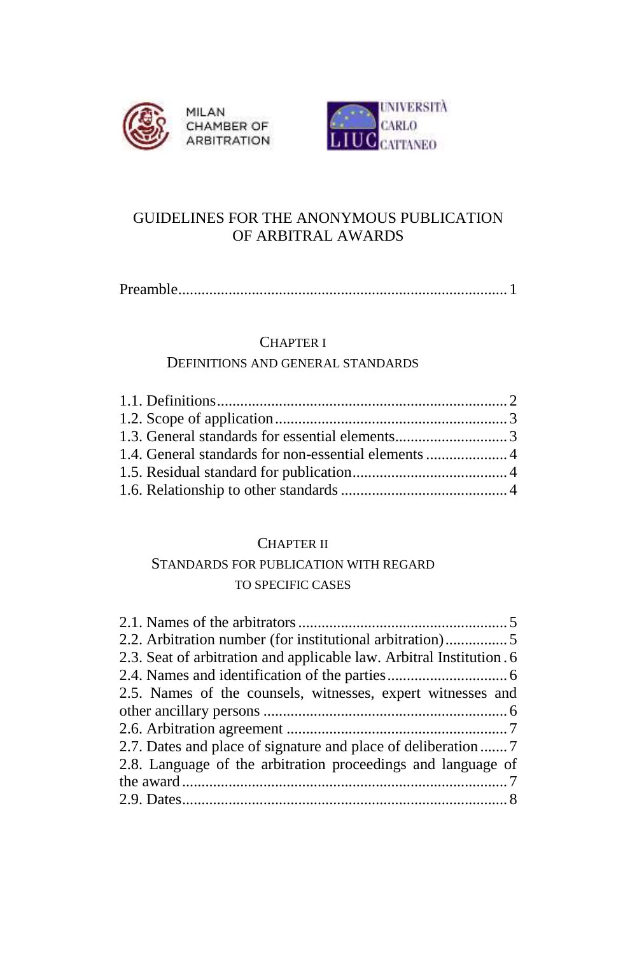

MILAN CHAMBER OF **ARBITRATION** 



# GUIDELINES FOR THE ANONYMOUS PUBLICATION OF ARBITRAL AWARDS

Preamble..................................................................................... 1

### CHAPTER I

### DEFINITIONS AND GENERAL STANDARDS

## CHAPTER II

# STANDARDS FOR PUBLICATION WITH REGARD TO SPECIFIC CASES

| 2.3. Seat of arbitration and applicable law. Arbitral Institution . 6 |
|-----------------------------------------------------------------------|
|                                                                       |
| 2.5. Names of the counsels, witnesses, expert witnesses and           |
|                                                                       |
|                                                                       |
|                                                                       |
| 2.8. Language of the arbitration proceedings and language of          |
|                                                                       |
|                                                                       |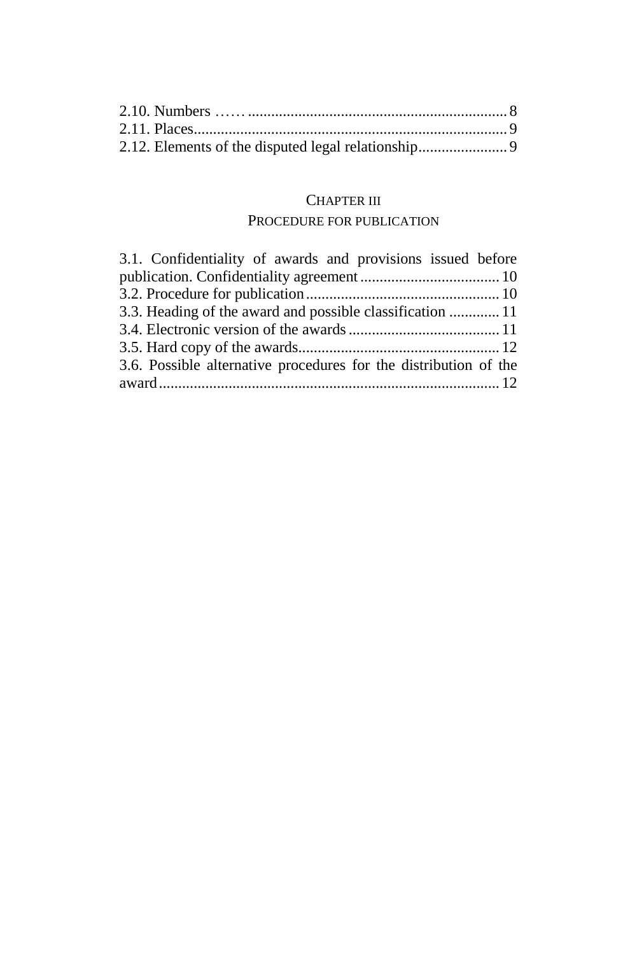## CHAPTER III

## PROCEDURE FOR PUBLICATION

| 3.1. Confidentiality of awards and provisions issued before      |  |
|------------------------------------------------------------------|--|
|                                                                  |  |
|                                                                  |  |
| 3.3. Heading of the award and possible classification  11        |  |
|                                                                  |  |
|                                                                  |  |
| 3.6. Possible alternative procedures for the distribution of the |  |
|                                                                  |  |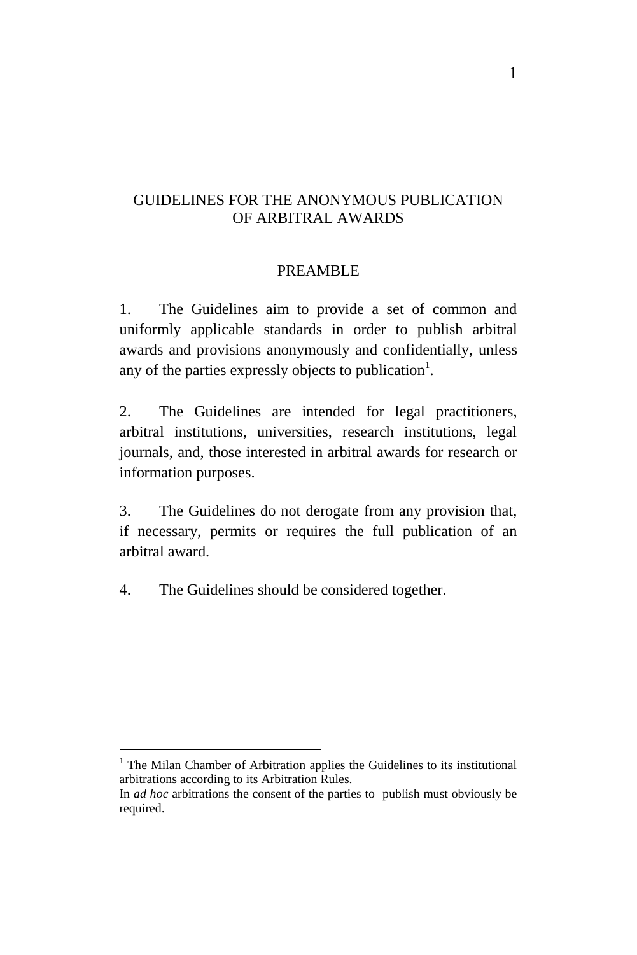## GUIDELINES FOR THE ANONYMOUS PUBLICATION OF ARBITRAL AWARDS

### PREAMBLE

1. The Guidelines aim to provide a set of common and uniformly applicable standards in order to publish arbitral awards and provisions anonymously and confidentially, unless any of the parties expressly objects to publication<sup>1</sup>.

2. The Guidelines are intended for legal practitioners, arbitral institutions, universities, research institutions, legal journals, and, those interested in arbitral awards for research or information purposes.

3. The Guidelines do not derogate from any provision that, if necessary, permits or requires the full publication of an arbitral award.

4. The Guidelines should be considered together.

1

 $1$  The Milan Chamber of Arbitration applies the Guidelines to its institutional arbitrations according to its Arbitration Rules.

In *ad hoc* arbitrations the consent of the parties to publish must obviously be required.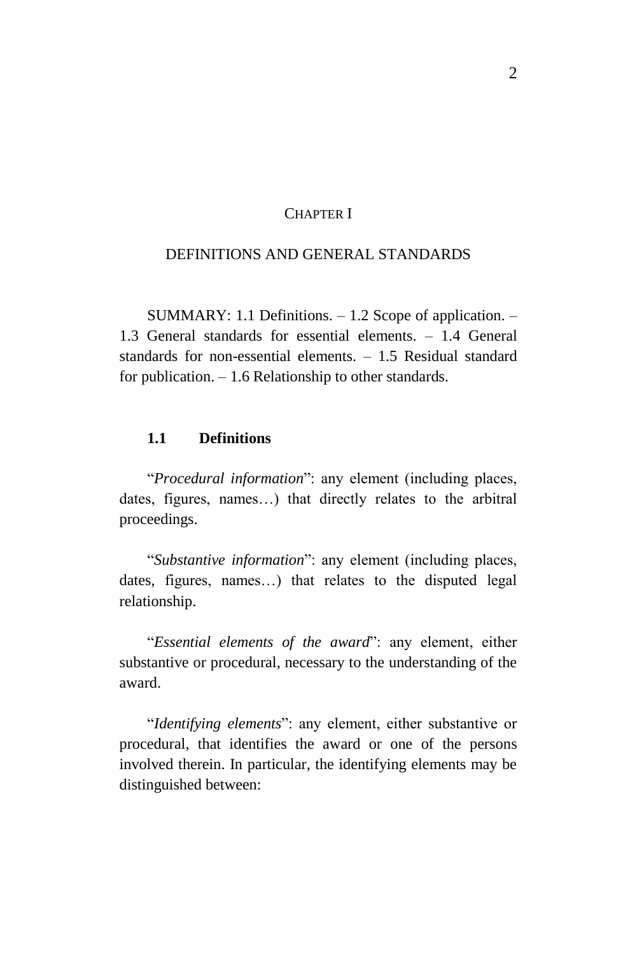### CHAPTER I

#### DEFINITIONS AND GENERAL STANDARDS

SUMMARY: 1.1 Definitions. – 1.2 Scope of application. – 1.3 General standards for essential elements. – 1.4 General standards for non-essential elements. – 1.5 Residual standard for publication.  $-1.6$  Relationship to other standards.

### **1.1 Definitions**

"*Procedural information*": any element (including places, dates, figures, names…) that directly relates to the arbitral proceedings.

"*Substantive information*": any element (including places, dates, figures, names…) that relates to the disputed legal relationship.

"*Essential elements of the award*": any element, either substantive or procedural, necessary to the understanding of the award.

"*Identifying elements*": any element, either substantive or procedural, that identifies the award or one of the persons involved therein. In particular, the identifying elements may be distinguished between: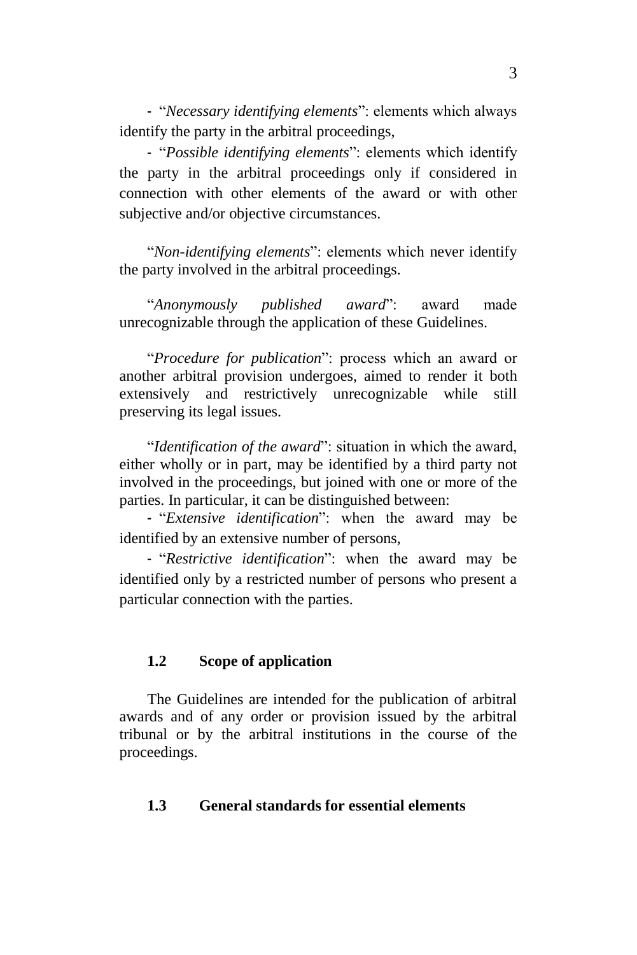- "*Necessary identifying elements*": elements which always identify the party in the arbitral proceedings,

- "*Possible identifying elements*": elements which identify the party in the arbitral proceedings only if considered in connection with other elements of the award or with other subjective and/or objective circumstances.

"*Non-identifying elements*": elements which never identify the party involved in the arbitral proceedings.

"*Anonymously published award*": award made unrecognizable through the application of these Guidelines.

"*Procedure for publication*": process which an award or another arbitral provision undergoes, aimed to render it both extensively and restrictively unrecognizable while still preserving its legal issues.

"*Identification of the award*": situation in which the award, either wholly or in part, may be identified by a third party not involved in the proceedings, but joined with one or more of the parties. In particular, it can be distinguished between:

- "*Extensive identification*": when the award may be identified by an extensive number of persons,

- "*Restrictive identification*": when the award may be identified only by a restricted number of persons who present a particular connection with the parties.

## **1.2 Scope of application**

The Guidelines are intended for the publication of arbitral awards and of any order or provision issued by the arbitral tribunal or by the arbitral institutions in the course of the proceedings.

### **1.3 General standards for essential elements**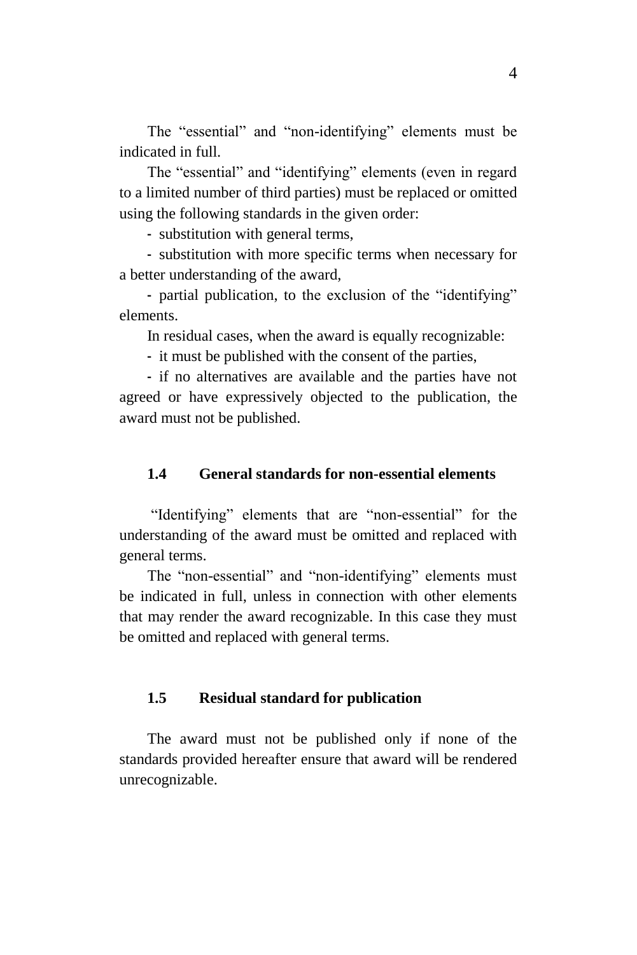The "essential" and "non-identifying" elements must be indicated in full.

The "essential" and "identifying" elements (even in regard to a limited number of third parties) must be replaced or omitted using the following standards in the given order:

- substitution with general terms,

- substitution with more specific terms when necessary for a better understanding of the award,

- partial publication, to the exclusion of the "identifying" elements.

In residual cases, when the award is equally recognizable:

- it must be published with the consent of the parties,

- if no alternatives are available and the parties have not agreed or have expressively objected to the publication, the award must not be published.

## **1.4 General standards for non-essential elements**

"Identifying" elements that are "non-essential" for the understanding of the award must be omitted and replaced with general terms.

The "non-essential" and "non-identifying" elements must be indicated in full, unless in connection with other elements that may render the award recognizable. In this case they must be omitted and replaced with general terms.

### **1.5 Residual standard for publication**

The award must not be published only if none of the standards provided hereafter ensure that award will be rendered unrecognizable.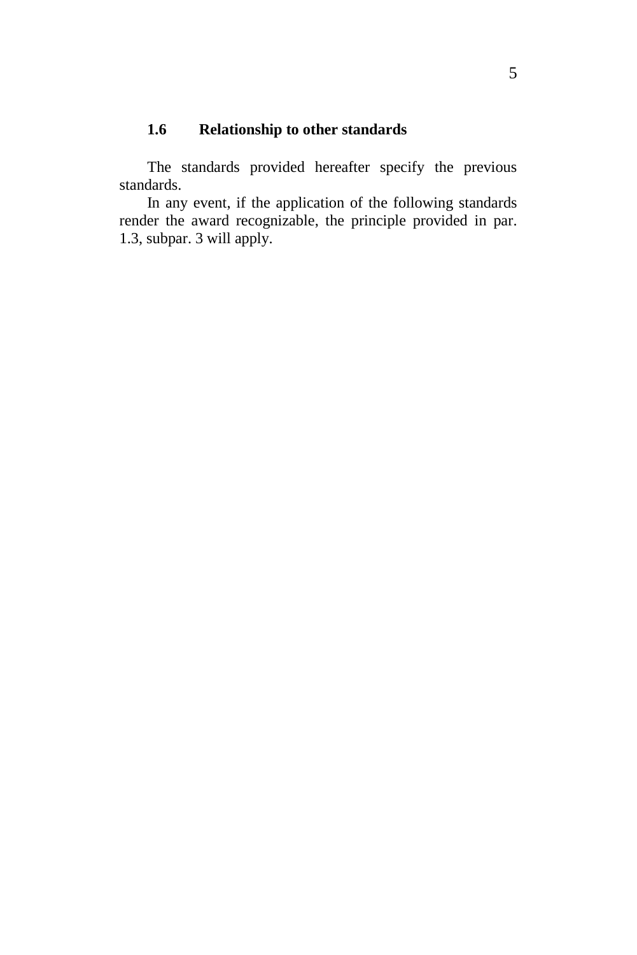# **1.6 Relationship to other standards**

The standards provided hereafter specify the previous standards.

In any event, if the application of the following standards render the award recognizable, the principle provided in par. 1.3, subpar. 3 will apply.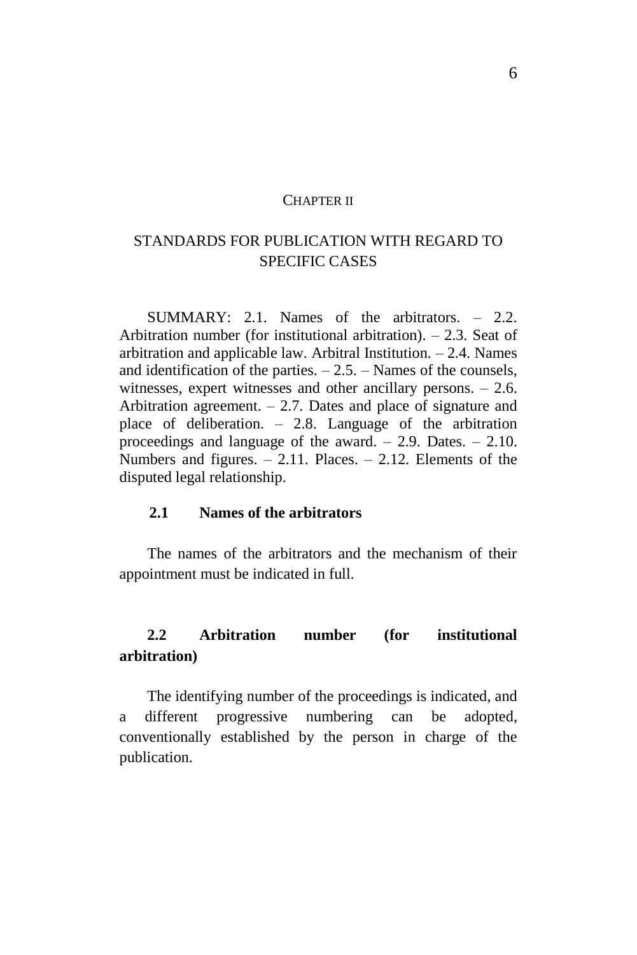#### CHAPTER II

# STANDARDS FOR PUBLICATION WITH REGARD TO SPECIFIC CASES

SUMMARY: 2.1. Names of the arbitrators. – 2.2. Arbitration number (for institutional arbitration). – 2.3. Seat of arbitration and applicable law. Arbitral Institution. – 2.4. Names and identification of the parties.  $-2.5$ .  $-$  Names of the counsels, witnesses, expert witnesses and other ancillary persons. – 2.6. Arbitration agreement.  $-2.7$ . Dates and place of signature and place of deliberation. – 2.8. Language of the arbitration proceedings and language of the award.  $-2.9$ . Dates.  $-2.10$ . Numbers and figures. – 2.11. Places. – 2.12. Elements of the disputed legal relationship.

### **2.1 Names of the arbitrators**

The names of the arbitrators and the mechanism of their appointment must be indicated in full.

# **2.2 Arbitration number (for institutional arbitration)**

The identifying number of the proceedings is indicated, and a different progressive numbering can be adopted, conventionally established by the person in charge of the publication.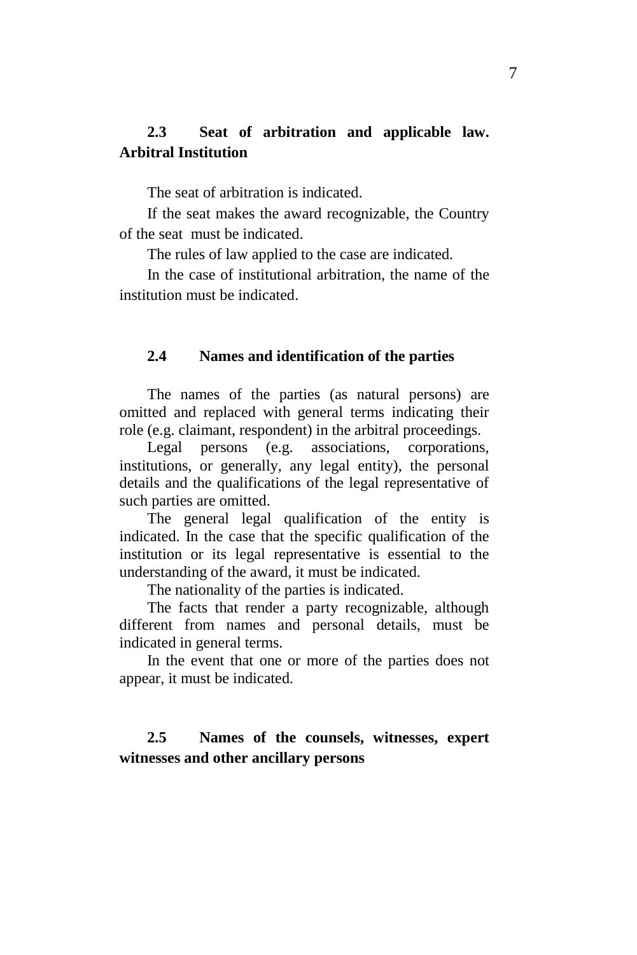# **2.3 Seat of arbitration and applicable law. Arbitral Institution**

The seat of arbitration is indicated.

If the seat makes the award recognizable, the Country of the seat must be indicated.

The rules of law applied to the case are indicated.

In the case of institutional arbitration, the name of the institution must be indicated.

## **2.4 Names and identification of the parties**

The names of the parties (as natural persons) are omitted and replaced with general terms indicating their role (e.g. claimant, respondent) in the arbitral proceedings.

Legal persons (e.g. associations, corporations, institutions, or generally, any legal entity), the personal details and the qualifications of the legal representative of such parties are omitted.

The general legal qualification of the entity is indicated. In the case that the specific qualification of the institution or its legal representative is essential to the understanding of the award, it must be indicated.

The nationality of the parties is indicated.

The facts that render a party recognizable, although different from names and personal details, must be indicated in general terms.

In the event that one or more of the parties does not appear, it must be indicated.

## **2.5 Names of the counsels, witnesses, expert witnesses and other ancillary persons**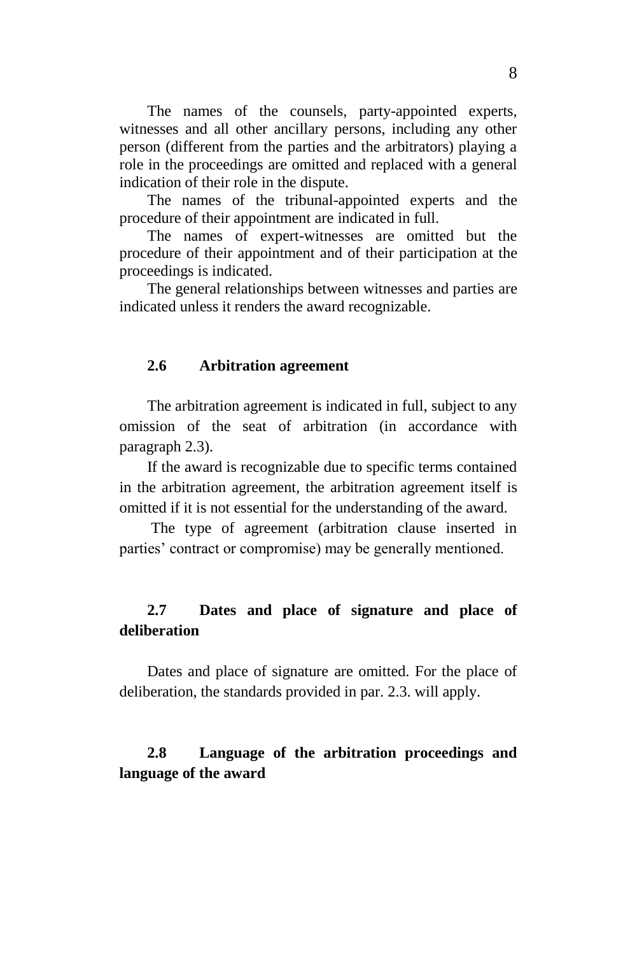The names of the counsels, party-appointed experts, witnesses and all other ancillary persons, including any other person (different from the parties and the arbitrators) playing a role in the proceedings are omitted and replaced with a general indication of their role in the dispute.

The names of the tribunal-appointed experts and the procedure of their appointment are indicated in full.

The names of expert-witnesses are omitted but the procedure of their appointment and of their participation at the proceedings is indicated.

The general relationships between witnesses and parties are indicated unless it renders the award recognizable.

## **2.6 Arbitration agreement**

The arbitration agreement is indicated in full, subject to any omission of the seat of arbitration (in accordance with paragraph 2.3).

If the award is recognizable due to specific terms contained in the arbitration agreement, the arbitration agreement itself is omitted if it is not essential for the understanding of the award.

The type of agreement (arbitration clause inserted in parties' contract or compromise) may be generally mentioned.

# **2.7 Dates and place of signature and place of deliberation**

Dates and place of signature are omitted. For the place of deliberation, the standards provided in par. 2.3. will apply.

# **2.8 Language of the arbitration proceedings and language of the award**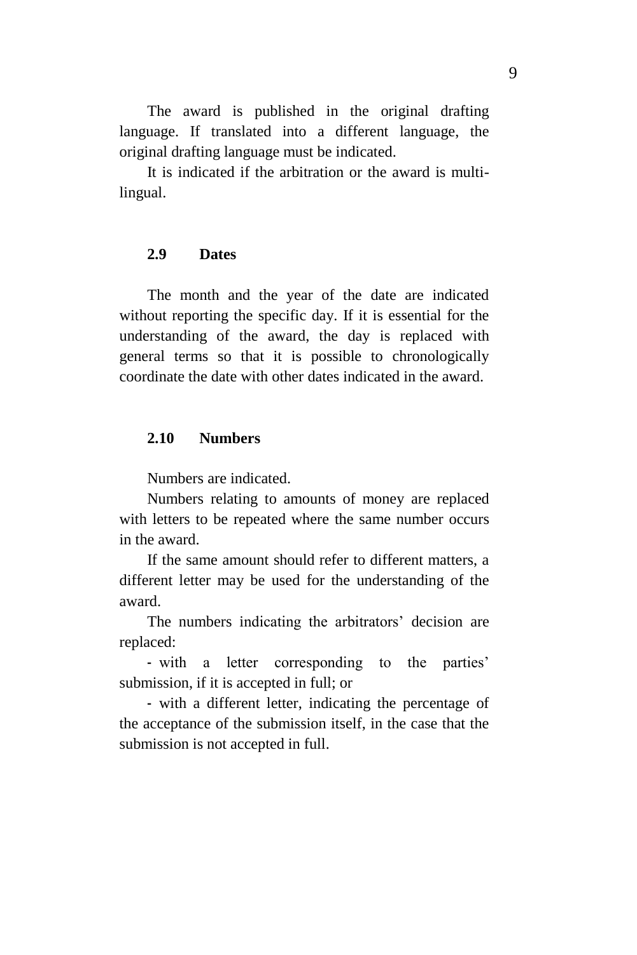The award is published in the original drafting language. If translated into a different language, the original drafting language must be indicated.

It is indicated if the arbitration or the award is multilingual.

## **2.9 Dates**

The month and the year of the date are indicated without reporting the specific day. If it is essential for the understanding of the award, the day is replaced with general terms so that it is possible to chronologically coordinate the date with other dates indicated in the award.

### **2.10 Numbers**

Numbers are indicated.

Numbers relating to amounts of money are replaced with letters to be repeated where the same number occurs in the award.

If the same amount should refer to different matters, a different letter may be used for the understanding of the award.

The numbers indicating the arbitrators' decision are replaced:

- with a letter corresponding to the parties' submission, if it is accepted in full; or

- with a different letter, indicating the percentage of the acceptance of the submission itself, in the case that the submission is not accepted in full.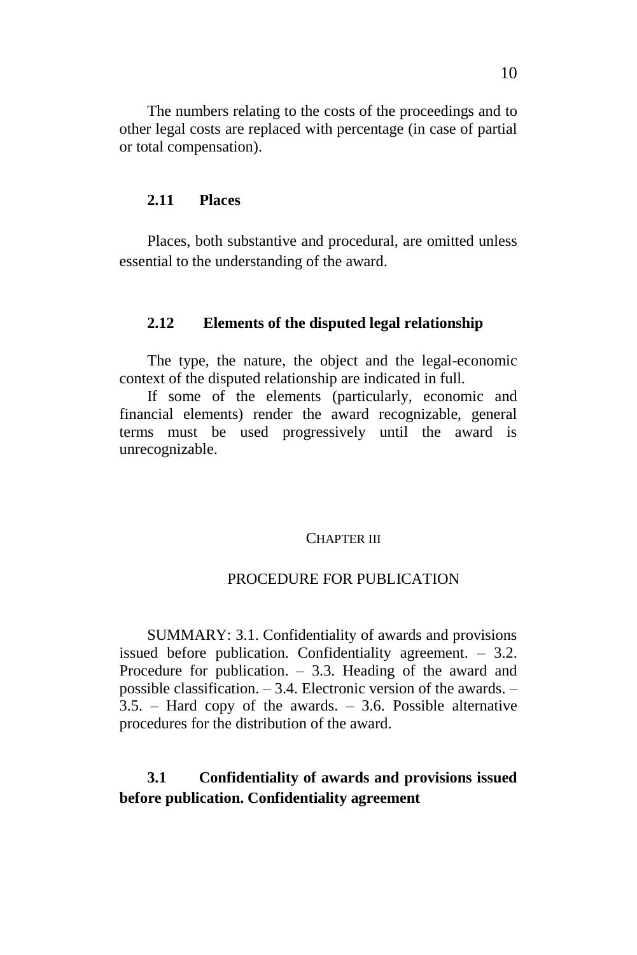The numbers relating to the costs of the proceedings and to other legal costs are replaced with percentage (in case of partial or total compensation).

### **2.11 Places**

Places, both substantive and procedural, are omitted unless essential to the understanding of the award.

### **2.12 Elements of the disputed legal relationship**

The type, the nature, the object and the legal-economic context of the disputed relationship are indicated in full.

If some of the elements (particularly, economic and financial elements) render the award recognizable, general terms must be used progressively until the award is unrecognizable.

#### CHAPTER III

### PROCEDURE FOR PUBLICATION

SUMMARY: 3.1. Confidentiality of awards and provisions issued before publication. Confidentiality agreement. – 3.2. Procedure for publication. – 3.3. Heading of the award and possible classification. – 3.4. Electronic version of the awards. – 3.5. – Hard copy of the awards. – 3.6. Possible alternative procedures for the distribution of the award.

## **3.1 Confidentiality of awards and provisions issued before publication. Confidentiality agreement**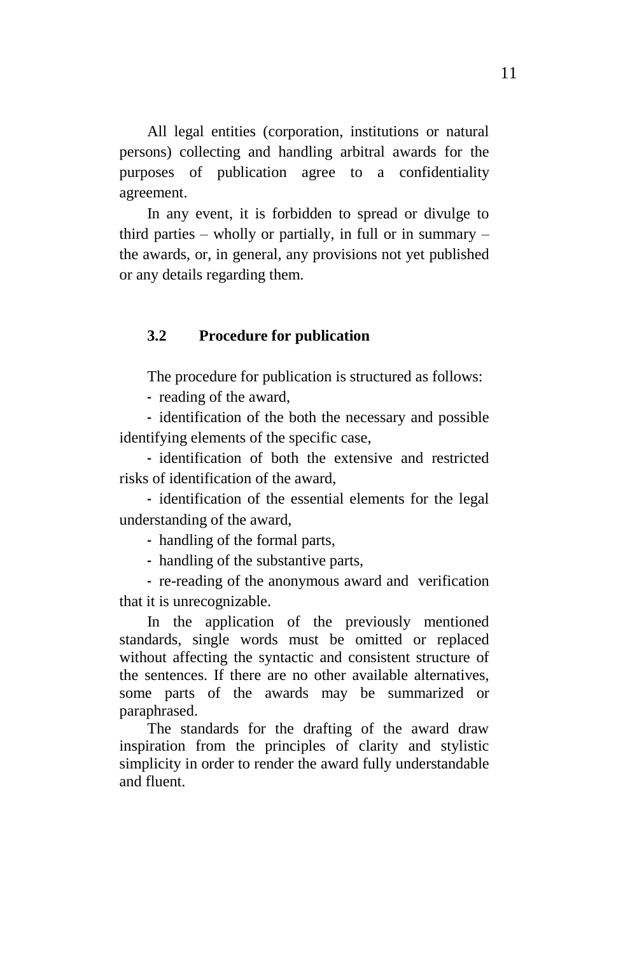All legal entities (corporation, institutions or natural persons) collecting and handling arbitral awards for the purposes of publication agree to a confidentiality agreement.

In any event, it is forbidden to spread or divulge to third parties – wholly or partially, in full or in summary – the awards, or, in general, any provisions not yet published or any details regarding them.

### **3.2 Procedure for publication**

The procedure for publication is structured as follows:

- reading of the award,

- identification of the both the necessary and possible identifying elements of the specific case,

- identification of both the extensive and restricted risks of identification of the award,

- identification of the essential elements for the legal understanding of the award,

- handling of the formal parts,

- handling of the substantive parts,

- re-reading of the anonymous award and verification that it is unrecognizable.

In the application of the previously mentioned standards, single words must be omitted or replaced without affecting the syntactic and consistent structure of the sentences. If there are no other available alternatives, some parts of the awards may be summarized or paraphrased.

The standards for the drafting of the award draw inspiration from the principles of clarity and stylistic simplicity in order to render the award fully understandable and fluent.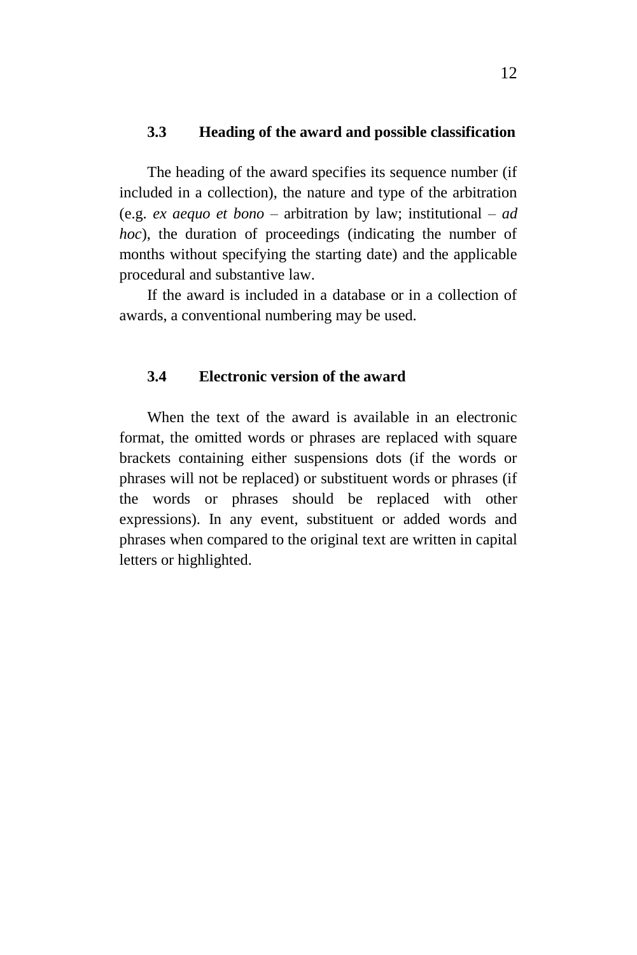### **3.3 Heading of the award and possible classification**

The heading of the award specifies its sequence number (if included in a collection), the nature and type of the arbitration (e.g. *ex aequo et bono* – arbitration by law; institutional – *ad hoc*), the duration of proceedings (indicating the number of months without specifying the starting date) and the applicable procedural and substantive law.

If the award is included in a database or in a collection of awards, a conventional numbering may be used.

### **3.4 Electronic version of the award**

When the text of the award is available in an electronic format, the omitted words or phrases are replaced with square brackets containing either suspensions dots (if the words or phrases will not be replaced) or substituent words or phrases (if the words or phrases should be replaced with other expressions). In any event, substituent or added words and phrases when compared to the original text are written in capital letters or highlighted.